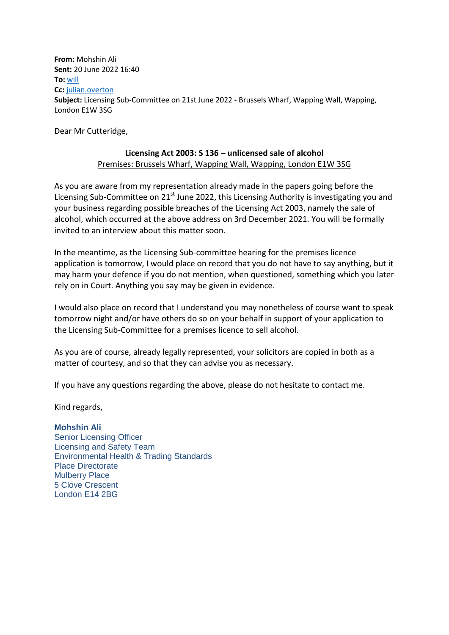**From:** Mohshin Ali **Sent:** 20 June 2022 16:40 **To:** [will](mailto:will@zeroomarkets.co.uk) **Cc:** [julian.overton](mailto:julian.overton@tvedwards.com) **Subject:** Licensing Sub-Committee on 21st June 2022 - Brussels Wharf, Wapping Wall, Wapping, London E1W 3SG

Dear Mr Cutteridge,

## **Licensing Act 2003: S 136 – unlicensed sale of alcohol** Premises: Brussels Wharf, Wapping Wall, Wapping, London E1W 3SG

As you are aware from my representation already made in the papers going before the Licensing Sub-Committee on 21<sup>st</sup> June 2022, this Licensing Authority is investigating you and your business regarding possible breaches of the Licensing Act 2003, namely the sale of alcohol, which occurred at the above address on 3rd December 2021. You will be formally invited to an interview about this matter soon.

In the meantime, as the Licensing Sub-committee hearing for the premises licence application is tomorrow, I would place on record that you do not have to say anything, but it may harm your defence if you do not mention, when questioned, something which you later rely on in Court. Anything you say may be given in evidence.

I would also place on record that I understand you may nonetheless of course want to speak tomorrow night and/or have others do so on your behalf in support of your application to the Licensing Sub-Committee for a premises licence to sell alcohol.

As you are of course, already legally represented, your solicitors are copied in both as a matter of courtesy, and so that they can advise you as necessary.

If you have any questions regarding the above, please do not hesitate to contact me.

Kind regards,

## **Mohshin Ali**

Senior Licensing Officer Licensing and Safety Team Environmental Health & Trading Standards Place Directorate Mulberry Place 5 Clove Crescent London E14 2BG